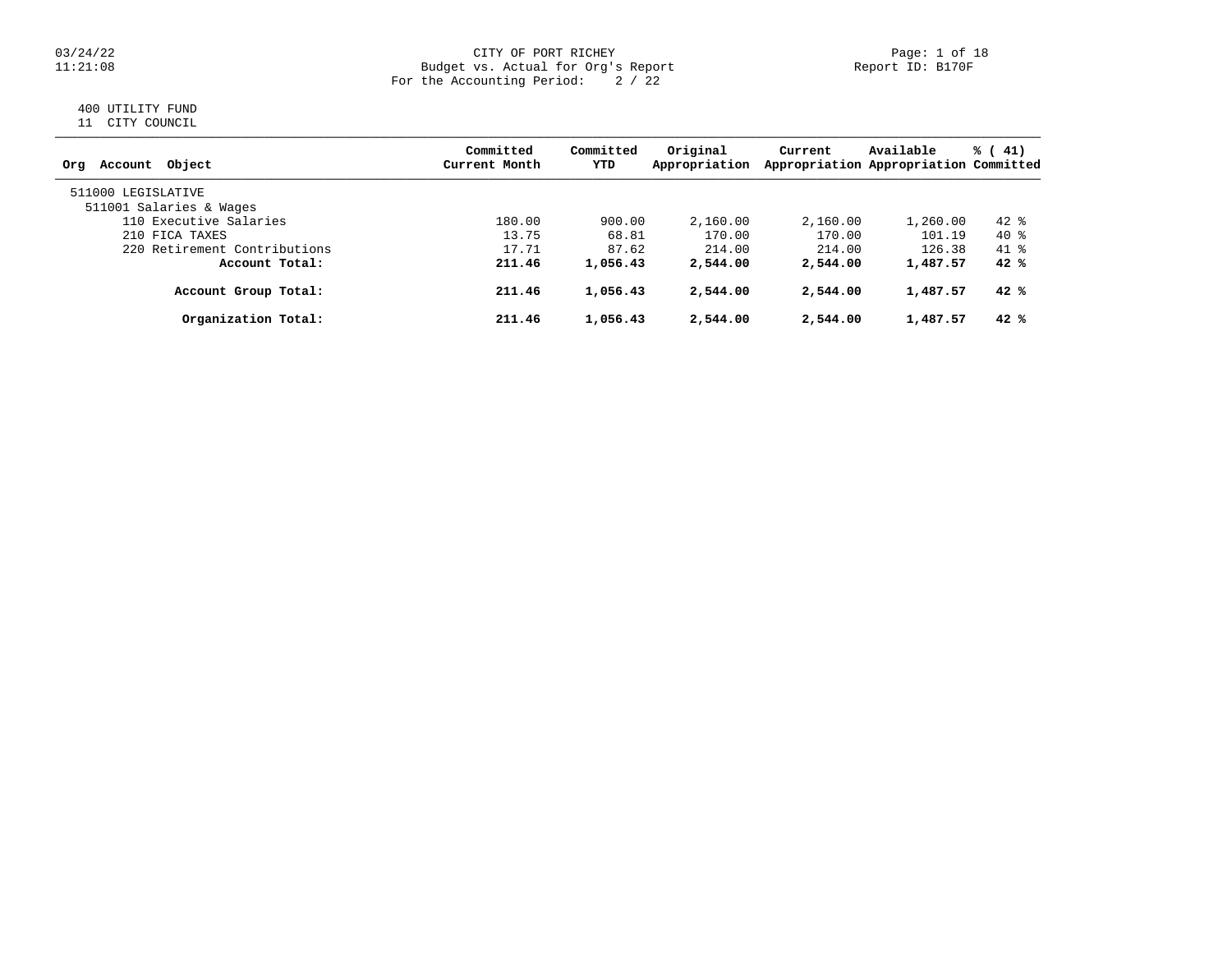### 03/24/22 CITY OF PORT RICHEY Page: 1 of 18 11:21:08 Budget vs. Actual for Org's Report Report ID: B170F For the Accounting Period: 2 / 22

# 400 UTILITY FUND

11 CITY COUNCIL

| Account Object<br>Orq        | Committed<br>Current Month | Committed<br>YTD | Original<br>Appropriation | Current  | Available<br>Appropriation Appropriation Committed | % (41) |
|------------------------------|----------------------------|------------------|---------------------------|----------|----------------------------------------------------|--------|
| 511000 LEGISLATIVE           |                            |                  |                           |          |                                                    |        |
| 511001 Salaries & Wages      |                            |                  |                           |          |                                                    |        |
| 110 Executive Salaries       | 180.00                     | 900.00           | 2,160.00                  | 2,160.00 | 1,260.00                                           | $42*$  |
| 210 FICA TAXES               | 13.75                      | 68.81            | 170.00                    | 170.00   | 101.19                                             | 40 %   |
| 220 Retirement Contributions | 17.71                      | 87.62            | 214.00                    | 214.00   | 126.38                                             | 41 %   |
| Account Total:               | 211.46                     | 1,056.43         | 2,544.00                  | 2,544.00 | 1,487.57                                           | 42%    |
| Account Group Total:         | 211.46                     | 1,056.43         | 2,544.00                  | 2,544.00 | 1,487.57                                           | 42%    |
| Organization Total:          | 211.46                     | 1,056.43         | 2,544.00                  | 2,544.00 | 1,487.57                                           | 42%    |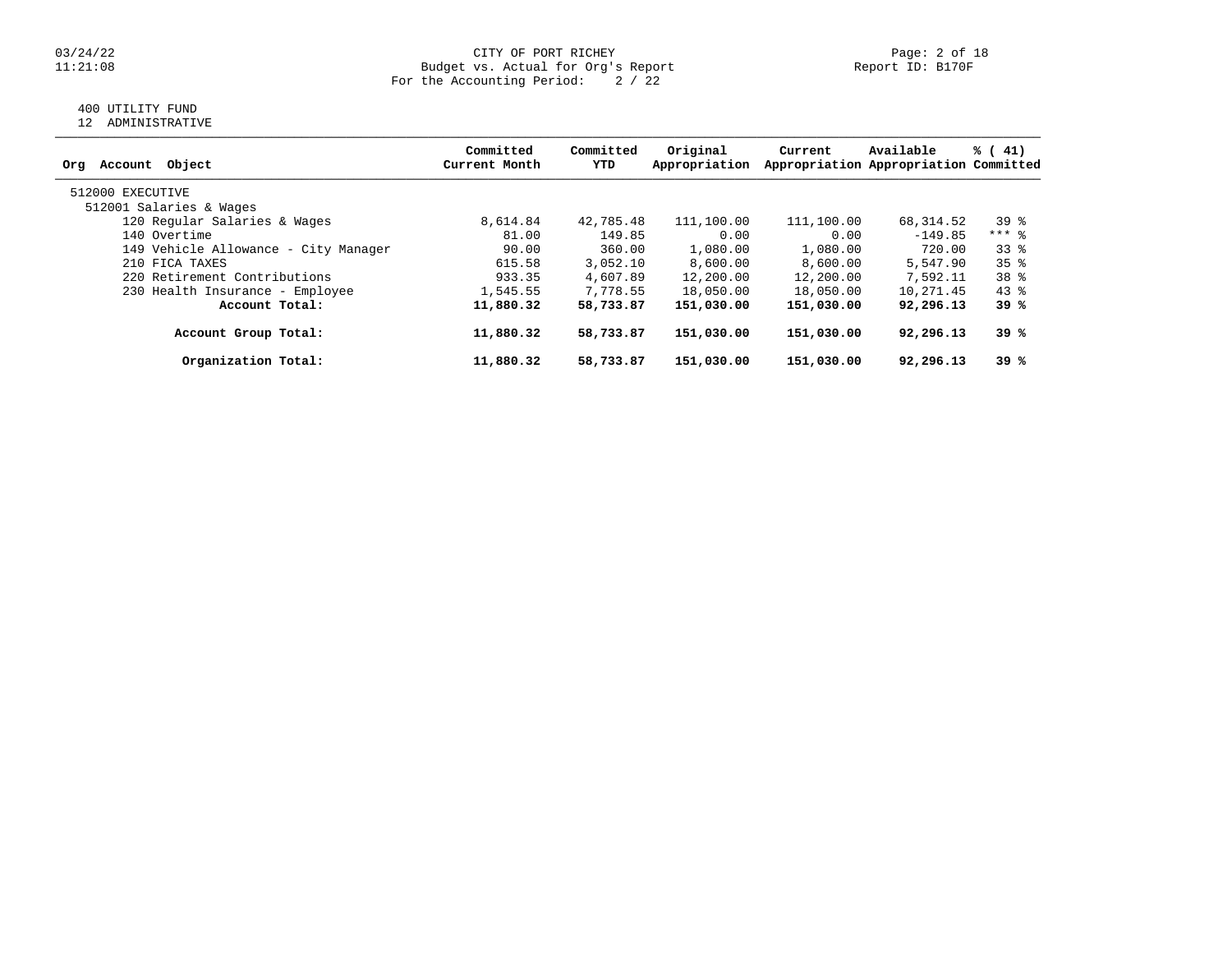### 03/24/22 CITY OF PORT RICHEY Page: 2 of 18 11:21:08 Budget vs. Actual for Org's Report Report ID: B170F For the Accounting Period: 2 / 22

## 400 UTILITY FUND

12 ADMINISTRATIVE

| Object<br>Account<br>Orq             | Committed<br>Current Month | Committed<br>YTD | Original<br>Appropriation | Current    | Available<br>Appropriation Appropriation Committed | % (41)          |
|--------------------------------------|----------------------------|------------------|---------------------------|------------|----------------------------------------------------|-----------------|
| 512000 EXECUTIVE                     |                            |                  |                           |            |                                                    |                 |
| 512001 Salaries & Wages              |                            |                  |                           |            |                                                    |                 |
| 120 Regular Salaries & Wages         | 8,614.84                   | 42,785.48        | 111,100.00                | 111,100.00 | 68,314.52                                          | $39*$           |
| 140 Overtime                         | 81.00                      | 149.85           | 0.00                      | 0.00       | $-149.85$                                          | $***$ 8         |
| 149 Vehicle Allowance - City Manager | 90.00                      | 360.00           | 1,080.00                  | 1,080.00   | 720.00                                             | 338             |
| 210 FICA TAXES                       | 615.58                     | 3,052.10         | 8,600.00                  | 8,600.00   | 5,547.90                                           | 35 <sup>8</sup> |
| 220 Retirement Contributions         | 933.35                     | 4,607.89         | 12,200.00                 | 12,200.00  | 7,592.11                                           | 38 %            |
| 230 Health Insurance - Employee      | 1,545.55                   | 7,778.55         | 18,050.00                 | 18,050.00  | 10,271.45                                          | $43*$           |
| Account Total:                       | 11,880.32                  | 58,733.87        | 151,030.00                | 151,030.00 | 92,296.13                                          | 39 %            |
| Account Group Total:                 | 11,880.32                  | 58,733.87        | 151,030.00                | 151,030.00 | 92,296.13                                          | 39 %            |
| Organization Total:                  | 11,880.32                  | 58,733.87        | 151,030.00                | 151,030.00 | 92,296.13                                          | 39 %            |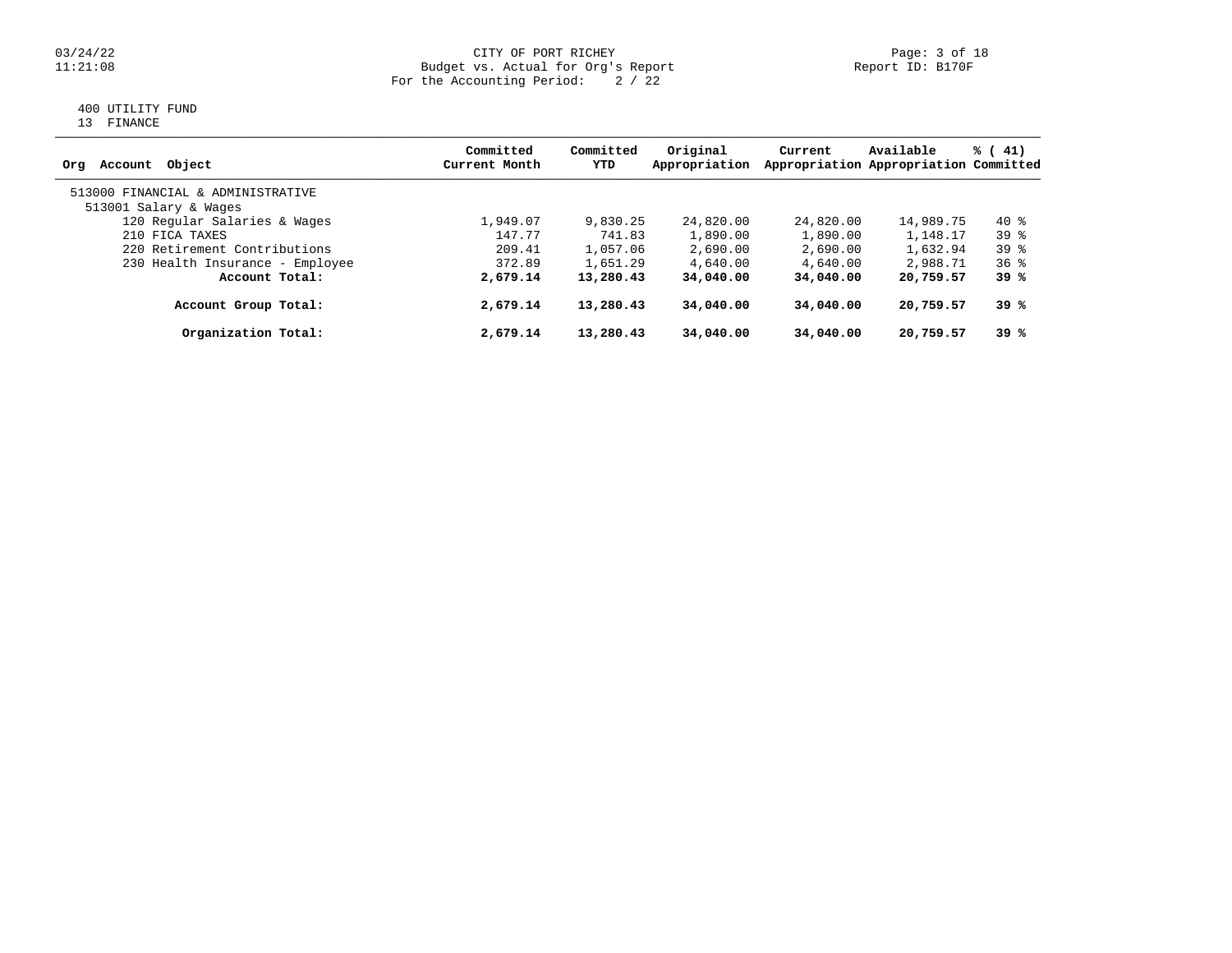### 03/24/22 CITY OF PORT RICHEY Page: 3 of 18 11:21:08 Budget vs. Actual for Org's Report Report ID: B170F For the Accounting Period: 2 / 22

## 400 UTILITY FUND

13 FINANCE

| Object<br>Account<br>Orq          | Committed<br>Current Month | Committed<br>YTD | Original<br>Appropriation | Current   | Available<br>Appropriation Appropriation Committed | % (41)          |
|-----------------------------------|----------------------------|------------------|---------------------------|-----------|----------------------------------------------------|-----------------|
| 513000 FINANCIAL & ADMINISTRATIVE |                            |                  |                           |           |                                                    |                 |
| 513001 Salary & Wages             |                            |                  |                           |           |                                                    |                 |
| 120 Regular Salaries & Wages      | 1,949.07                   | 9,830.25         | 24,820.00                 | 24,820.00 | 14,989.75                                          | 40 %            |
| 210 FICA TAXES                    | 147.77                     | 741.83           | 1,890.00                  | 1,890.00  | 1,148.17                                           | $39*$           |
| 220 Retirement Contributions      | 209.41                     | 1,057.06         | 2,690.00                  | 2,690.00  | 1,632.94                                           | $39*$           |
| 230 Health Insurance - Employee   | 372.89                     | 1,651.29         | 4,640.00                  | 4,640.00  | 2,988.71                                           | 36 <sup>8</sup> |
| Account Total:                    | 2,679.14                   | 13,280.43        | 34,040.00                 | 34,040,00 | 20,759.57                                          | 39%             |
| Account Group Total:              | 2,679.14                   | 13,280.43        | 34,040.00                 | 34,040.00 | 20,759.57                                          | 39%             |
| Organization Total:               | 2,679.14                   | 13,280.43        | 34,040.00                 | 34,040.00 | 20,759.57                                          | 39%             |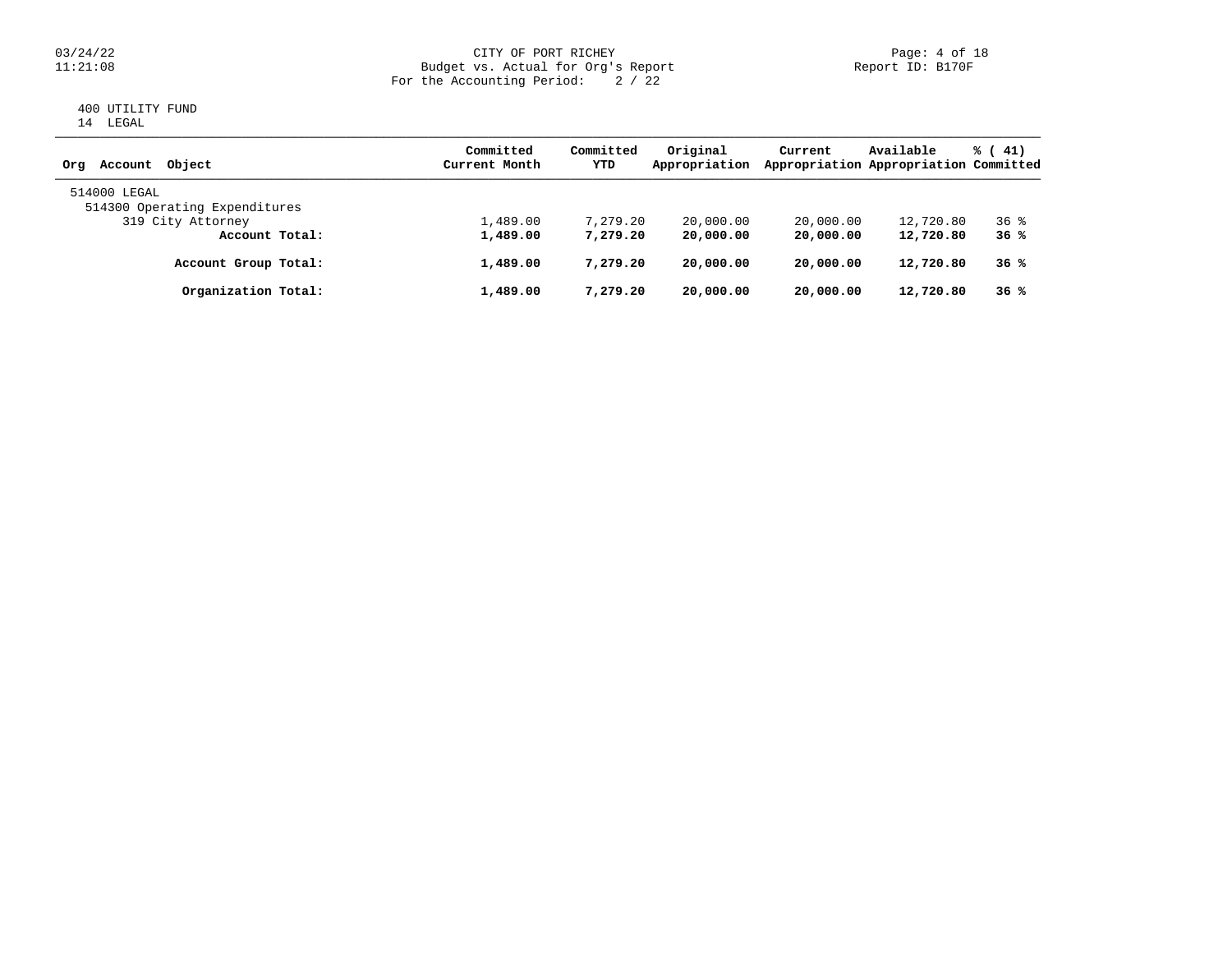### 03/24/22 CITY OF PORT RICHEY Page: 4 of 18 11:21:08 Budget vs. Actual for Org's Report Report ID: B170F For the Accounting Period: 2 / 22

### 400 UTILITY FUND 14 LEGAL

| Object<br>Account<br>Ora                      | Committed<br>Current Month | Committed<br>YTD | Original<br>Appropriation | Current   | Available<br>Appropriation Appropriation Committed | % (41)          |
|-----------------------------------------------|----------------------------|------------------|---------------------------|-----------|----------------------------------------------------|-----------------|
| 514000 LEGAL<br>514300 Operating Expenditures |                            |                  |                           |           |                                                    |                 |
| 319 City Attorney                             | 1,489.00                   | 7,279.20         | 20,000.00                 | 20,000.00 | 12,720.80                                          | 36 <sup>8</sup> |
| Account Total:                                | 1,489.00                   | 7,279.20         | 20,000.00                 | 20,000.00 | 12,720.80                                          | 36%             |
| Account Group Total:                          | 1,489.00                   | 7,279.20         | 20,000.00                 | 20,000.00 | 12,720.80                                          | 36%             |
| Organization Total:                           | 1,489.00                   | 7,279.20         | 20,000.00                 | 20,000.00 | 12,720.80                                          | 36%             |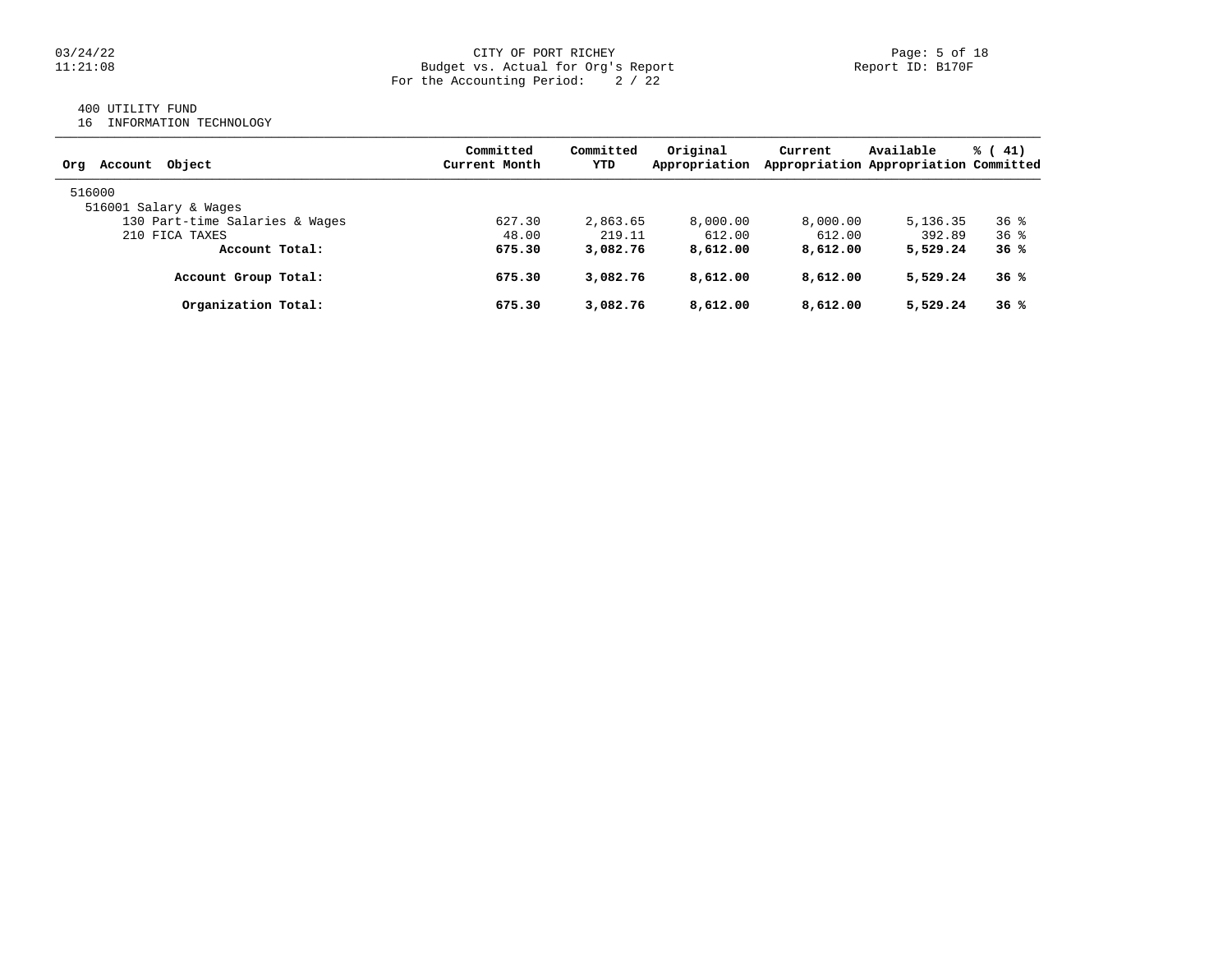### 03/24/22 CITY OF PORT RICHEY Page: 5 of 18<br>Dudget vs. Actual for Org's Report Page: 5 of 18<br>Report ID: B170F Budget vs. Actual for Org's Report For the Accounting Period: 2 / 22

## 400 UTILITY FUND

16 INFORMATION TECHNOLOGY

| Account Object<br>Ora          | Committed<br>Current Month | Committed<br>YTD | Original<br>Appropriation | Current  | Available<br>Appropriation Appropriation Committed | $\frac{1}{6}$ ( 41) |
|--------------------------------|----------------------------|------------------|---------------------------|----------|----------------------------------------------------|---------------------|
| 516000                         |                            |                  |                           |          |                                                    |                     |
| 516001 Salary & Wages          |                            |                  |                           |          |                                                    |                     |
| 130 Part-time Salaries & Wages | 627.30                     | 2,863.65         | 8,000.00                  | 8,000.00 | 5, 136, 35                                         | 36 <sup>8</sup>     |
| 210 FICA TAXES                 | 48.00                      | 219.11           | 612.00                    | 612.00   | 392.89                                             | 36 <sup>8</sup>     |
| Account Total:                 | 675.30                     | 3,082.76         | 8,612.00                  | 8,612.00 | 5,529.24                                           | 36%                 |
| Account Group Total:           | 675.30                     | 3,082.76         | 8,612.00                  | 8,612.00 | 5,529.24                                           | 36%                 |
| Organization Total:            | 675.30                     | 3,082.76         | 8,612.00                  | 8,612.00 | 5,529.24                                           | 36%                 |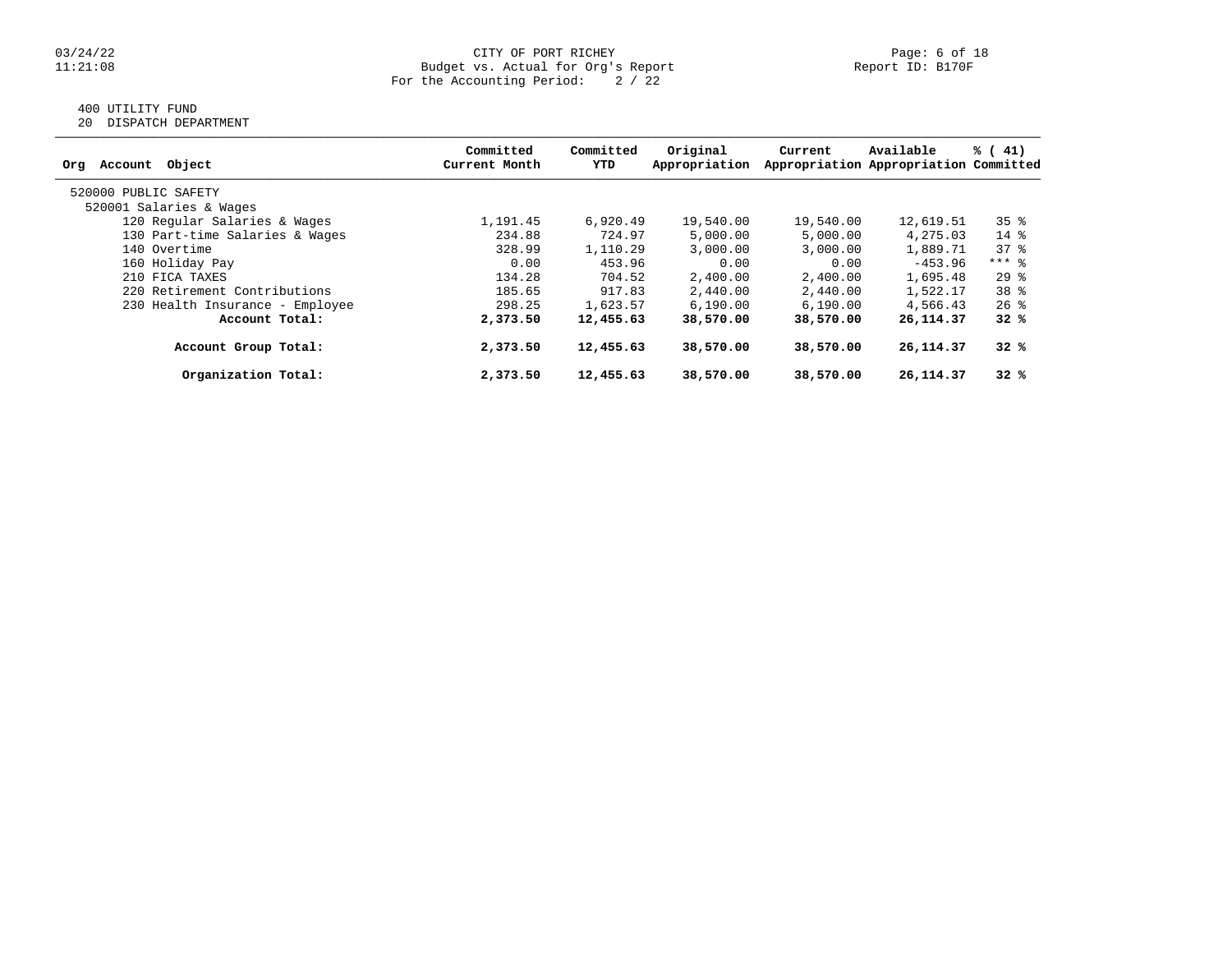#### 03/24/22 CITY OF PORT RICHEY Page: 6 of 18 11:21:08 Budget vs. Actual for Org's Report Report ID: B170F For the Accounting Period: 2 / 22

## 400 UTILITY FUND

20 DISPATCH DEPARTMENT

| Object<br>Account<br>Org        | Committed<br>Current Month | Committed<br>YTD | Original<br>Appropriation | Current   | Available<br>Appropriation Appropriation Committed | $\frac{1}{6}$ ( 41) |
|---------------------------------|----------------------------|------------------|---------------------------|-----------|----------------------------------------------------|---------------------|
| 520000 PUBLIC SAFETY            |                            |                  |                           |           |                                                    |                     |
| 520001 Salaries & Wages         |                            |                  |                           |           |                                                    |                     |
| 120 Regular Salaries & Wages    | 1,191.45                   | 6,920.49         | 19,540.00                 | 19,540.00 | 12,619.51                                          | $35$ $%$            |
| 130 Part-time Salaries & Wages  | 234.88                     | 724.97           | 5,000.00                  | 5,000.00  | 4,275.03                                           | $14*$               |
| 140 Overtime                    | 328.99                     | 1,110.29         | 3,000.00                  | 3,000.00  | 1,889.71                                           | 378                 |
| 160 Holiday Pay                 | 0.00                       | 453.96           | 0.00                      | 0.00      | $-453.96$                                          | $***$ 8             |
| 210 FICA TAXES                  | 134.28                     | 704.52           | 2,400.00                  | 2,400.00  | 1,695.48                                           | $29$ $%$            |
| 220 Retirement Contributions    | 185.65                     | 917.83           | 2,440.00                  | 2,440.00  | 1,522.17                                           | 38 <sup>8</sup>     |
| 230 Health Insurance - Employee | 298.25                     | 1,623.57         | 6, 190.00                 | 6,190.00  | 4,566.43                                           | $26$ %              |
| Account Total:                  | 2,373.50                   | 12,455.63        | 38,570.00                 | 38,570.00 | 26, 114.37                                         | 32%                 |
| Account Group Total:            | 2,373.50                   | 12,455.63        | 38,570.00                 | 38,570.00 | 26, 114.37                                         | 32%                 |
| Organization Total:             | 2,373.50                   | 12,455.63        | 38,570.00                 | 38,570.00 | 26, 114.37                                         | 32%                 |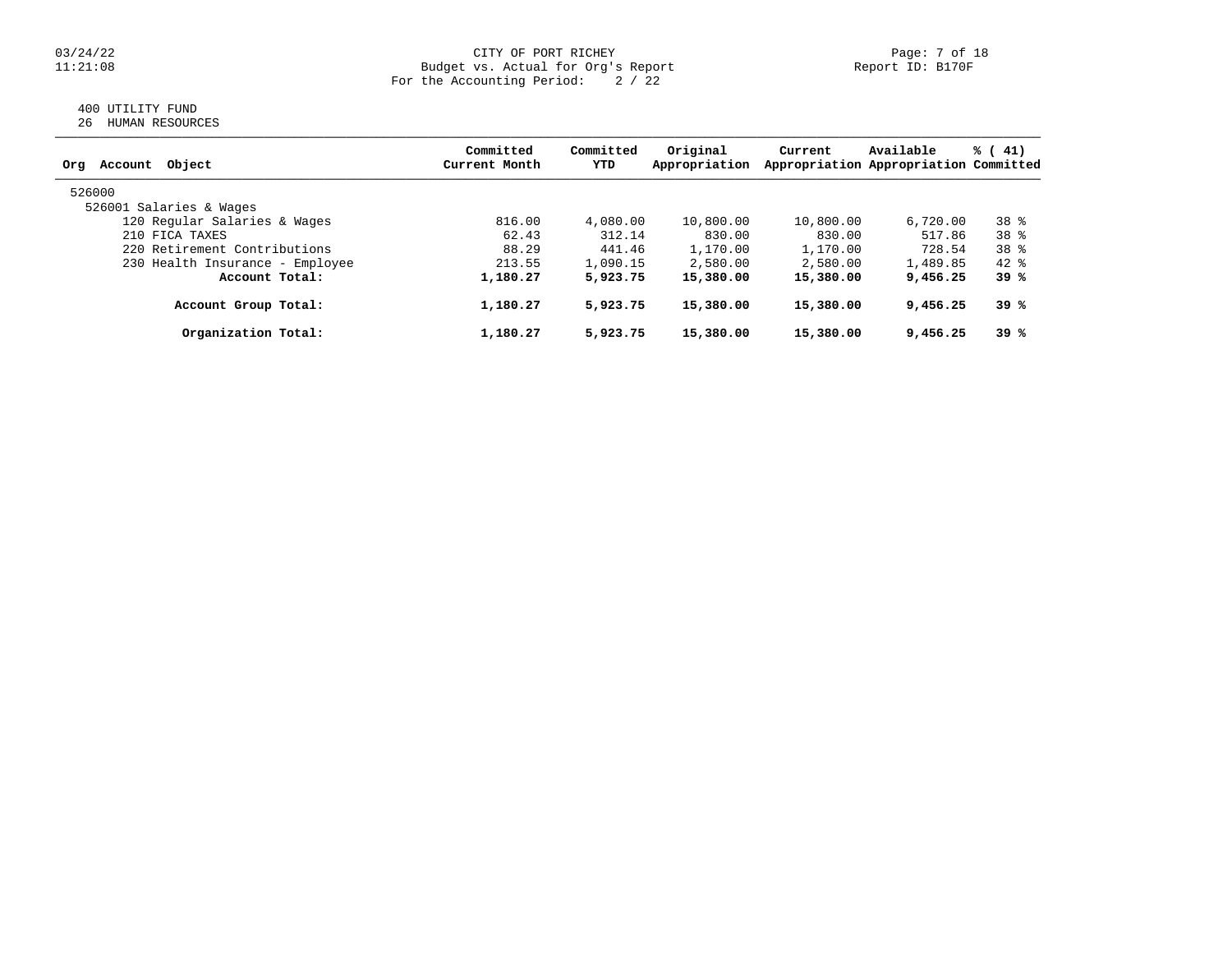### 03/24/22 CITY OF PORT RICHEY Page: 7 of 18 11:21:08 Budget vs. Actual for Org's Report Report ID: B170F For the Accounting Period: 2 / 22

### 400 UTILITY FUND 26 HUMAN RESOURCES

| Obiect<br>Account<br>Org        | Committed<br>Current Month | Committed<br>YTD | Original<br>Appropriation | Current   | Available<br>Appropriation Appropriation Committed | % (41) |
|---------------------------------|----------------------------|------------------|---------------------------|-----------|----------------------------------------------------|--------|
| 526000                          |                            |                  |                           |           |                                                    |        |
| 526001 Salaries & Wages         |                            |                  |                           |           |                                                    |        |
| 120 Regular Salaries & Wages    | 816.00                     | 4,080.00         | 10,800.00                 | 10,800.00 | 6.720.00                                           | 38 %   |
| 210 FICA TAXES                  | 62.43                      | 312.14           | 830.00                    | 830.00    | 517.86                                             | 38 %   |
| 220 Retirement Contributions    | 88.29                      | 441.46           | 1,170.00                  | 1,170.00  | 728.54                                             | 38 %   |
| 230 Health Insurance - Employee | 213.55                     | 1,090.15         | 2,580.00                  | 2,580.00  | 1,489.85                                           | $42*$  |
| Account Total:                  | 1,180.27                   | 5,923.75         | 15,380.00                 | 15,380.00 | 9,456.25                                           | 39 %   |
| Account Group Total:            | 1,180.27                   | 5,923.75         | 15,380.00                 | 15,380.00 | 9,456.25                                           | 39 %   |
| Organization Total:             | 1,180.27                   | 5,923.75         | 15,380.00                 | 15,380.00 | 9,456.25                                           | 39 %   |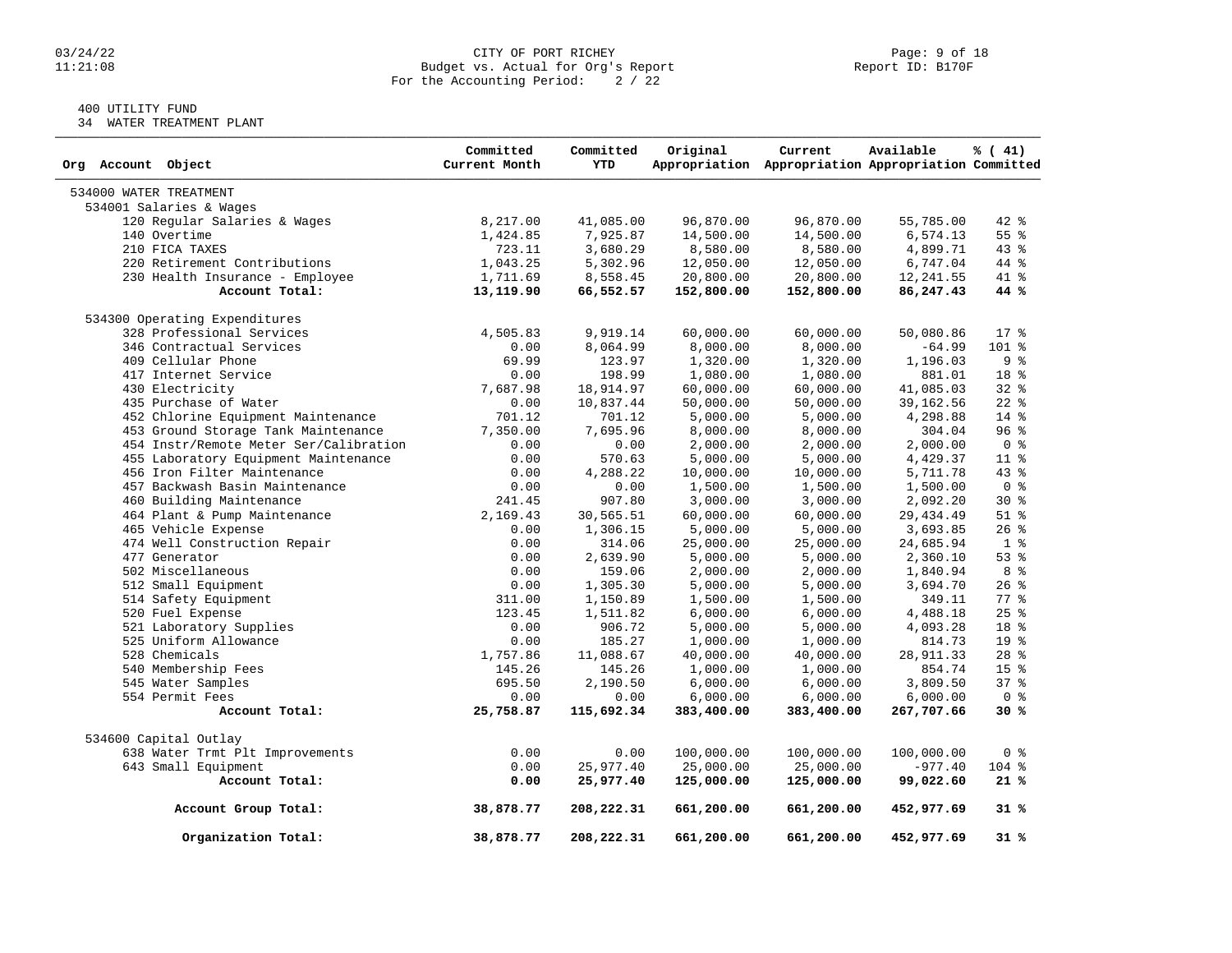### 03/24/22 CITY OF PORT RICHEY Page: 9 of 18<br>11:21:08 Budget vs. Actual for Org's Report Page: 9 Of 18<br>Report ID: B170F Budget vs. Actual for Org's Report For the Accounting Period: 2 / 22

## 400 UTILITY FUND

34 WATER TREATMENT PLANT

| Org Account Object                     | Committed<br>Current Month | Committed<br><b>YTD</b> | Original                | Current<br>Appropriation Appropriation Appropriation Committed | Available              | $\frac{1}{6}$ ( 41) |
|----------------------------------------|----------------------------|-------------------------|-------------------------|----------------------------------------------------------------|------------------------|---------------------|
| 534000 WATER TREATMENT                 |                            |                         |                         |                                                                |                        |                     |
| 534001 Salaries & Wages                |                            |                         |                         |                                                                |                        |                     |
| 120 Regular Salaries & Wages           | 8,217.00                   | 41,085.00               | 96,870.00               | 96,870.00                                                      | 55,785.00              | $42$ $%$            |
| 140 Overtime                           | 1,424.85                   | 7,925.87                | 14,500.00               | 14,500.00                                                      | 6,574.13               | 55%                 |
| 210 FICA TAXES                         | 723.11                     | 3,680.29                | 8,580.00                | 8,580.00                                                       | 4,899.71               | 43 %                |
| 220 Retirement Contributions           | 1,043.25                   | 5,302.96                | 12,050.00               | 12,050.00                                                      | 6,747.04               | 44 %                |
| 230 Health Insurance - Employee        | 1,711.69                   | 8,558.45                | 20,800.00               | 20,800.00                                                      | 12,241.55              | 41 %                |
| Account Total:                         | 13,119.90                  | 66,552.57               | 152,800.00              | 152,800.00                                                     | 86,247.43              | 44 %                |
| 534300 Operating Expenditures          |                            |                         |                         |                                                                |                        |                     |
| 328 Professional Services              | 4,505.83                   | 9,919.14                | 60,000.00               | 60,000.00                                                      | 50,080.86              | $17*$               |
| 346 Contractual Services               | 0.00                       | 8,064.99                | 8,000.00                | 8,000.00                                                       | $-64.99$               | $101$ %             |
| 409 Cellular Phone                     | 69.99                      | 123.97                  | 1,320.00                | 1,320.00                                                       | 1,196.03               | 9%                  |
| 417 Internet Service                   | 0.00                       | 198.99                  | 1,080.00                | 1,080.00                                                       | 881.01                 | 18 %                |
| 430 Electricity                        | 7,687.98                   | 18,914.97               | 60,000.00               | 60,000.00                                                      | 41,085.03              | 32%                 |
| 435 Purchase of Water                  | 0.00                       | 10,837.44               | 50,000.00               | 50,000.00                                                      | 39, 162.56             | $22$ $%$            |
| 452 Chlorine Equipment Maintenance     | 701.12                     | 701.12                  | 5,000.00                | 5,000.00                                                       | 4,298.88               | $14*$               |
| 453 Ground Storage Tank Maintenance    | 7,350.00                   | 7,695.96                | 8,000.00                | 8,000.00                                                       | 304.04                 | 96%                 |
| 454 Instr/Remote Meter Ser/Calibration | 0.00                       | 0.00                    | 2,000.00                | 2,000.00                                                       | 2,000.00               | 0 <sup>8</sup>      |
| 455 Laboratory Equipment Maintenance   | 0.00                       | 570.63                  | 5,000.00                | 5,000.00                                                       | 4,429.37               | $11*$               |
| 456 Iron Filter Maintenance            | 0.00                       | 4,288.22                | 10,000.00               | 10,000.00                                                      | 5,711.78               | $43$ $%$            |
| 457 Backwash Basin Maintenance         | 0.00                       | 0.00                    | 1,500.00                | 1,500.00                                                       | 1,500.00               | 0 <sup>8</sup>      |
| 460 Building Maintenance               | 241.45                     | 907.80                  | 3,000.00                | 3,000.00                                                       | 2,092.20               | $30*$               |
| 464 Plant & Pump Maintenance           | 2,169.43                   | 30,565.51               | 60,000.00               | 60,000.00                                                      | 29, 434.49             | $51$ %              |
| 465 Vehicle Expense                    | 0.00                       | 1,306.15                | 5,000.00                | 5,000.00                                                       | 3,693.85               | $26$ %              |
| 474 Well Construction Repair           | 0.00                       | 314.06                  | 25,000.00               | 25,000.00                                                      | 24,685.94              | 1 <sup>8</sup>      |
| 477 Generator                          | 0.00                       | 2,639.90                | 5,000.00                | 5,000.00                                                       | 2,360.10               | 53%                 |
| 502 Miscellaneous                      | 0.00                       | 159.06                  | 2,000.00                | 2,000.00                                                       | 1,840.94               | 8 %                 |
| 512 Small Equipment                    | 0.00                       | 1,305.30                | 5,000.00                | 5,000.00                                                       | 3,694.70               | $26$ %              |
| 514 Safety Equipment                   | 311.00                     | 1,150.89                | 1,500.00                | 1,500.00                                                       | 349.11                 | 77.8                |
| 520 Fuel Expense                       | 123.45                     | 1,511.82                | 6,000.00                | 6,000.00                                                       | 4,488.18               | 25%                 |
| 521 Laboratory Supplies                | 0.00                       | 906.72                  | 5,000.00                | 5,000.00                                                       | 4,093.28               | 18 %                |
| 525 Uniform Allowance                  | 0.00                       | 185.27                  | 1,000.00                | 1,000.00                                                       | 814.73                 | 19 <sup>°</sup>     |
| 528 Chemicals                          | 1,757.86                   | 11,088.67               | 40,000.00               | 40,000.00                                                      | 28,911.33              | $28$ %              |
| 540 Membership Fees                    | 145.26                     | 145.26                  | 1,000.00                | 1,000.00                                                       | 854.74                 | 15 <sup>8</sup>     |
| 545 Water Samples                      | 695.50                     | 2,190.50                | 6,000.00                | 6,000.00                                                       | 3,809.50               | 37%                 |
| 554 Permit Fees                        | 0.00                       | 0.00                    | 6,000.00                | 6,000.00                                                       | 6,000.00               | 0 <sup>8</sup>      |
| Account Total:                         | 25,758.87                  | 115,692.34              | 383,400.00              | 383,400.00                                                     | 267,707.66             | 30%                 |
|                                        |                            |                         |                         |                                                                |                        |                     |
| 534600 Capital Outlay                  | 0.00                       |                         |                         |                                                                |                        | 0 <sup>8</sup>      |
| 638 Water Trmt Plt Improvements        |                            | 0.00                    | 100,000.00              | 100,000.00                                                     | 100,000.00             |                     |
| 643 Small Equipment<br>Account Total:  | 0.00<br>0.00               | 25,977.40<br>25,977.40  | 25,000.00<br>125,000.00 | 25,000.00<br>125,000.00                                        | $-977.40$<br>99,022.60 | $104$ %<br>21%      |
|                                        |                            |                         |                         |                                                                |                        |                     |
| Account Group Total:                   | 38,878.77                  | 208,222.31              | 661,200.00              | 661,200.00                                                     | 452,977.69             | 31 %                |
| Organization Total:                    | 38,878.77                  | 208,222.31              | 661,200.00              | 661,200.00                                                     | 452,977.69             | 31%                 |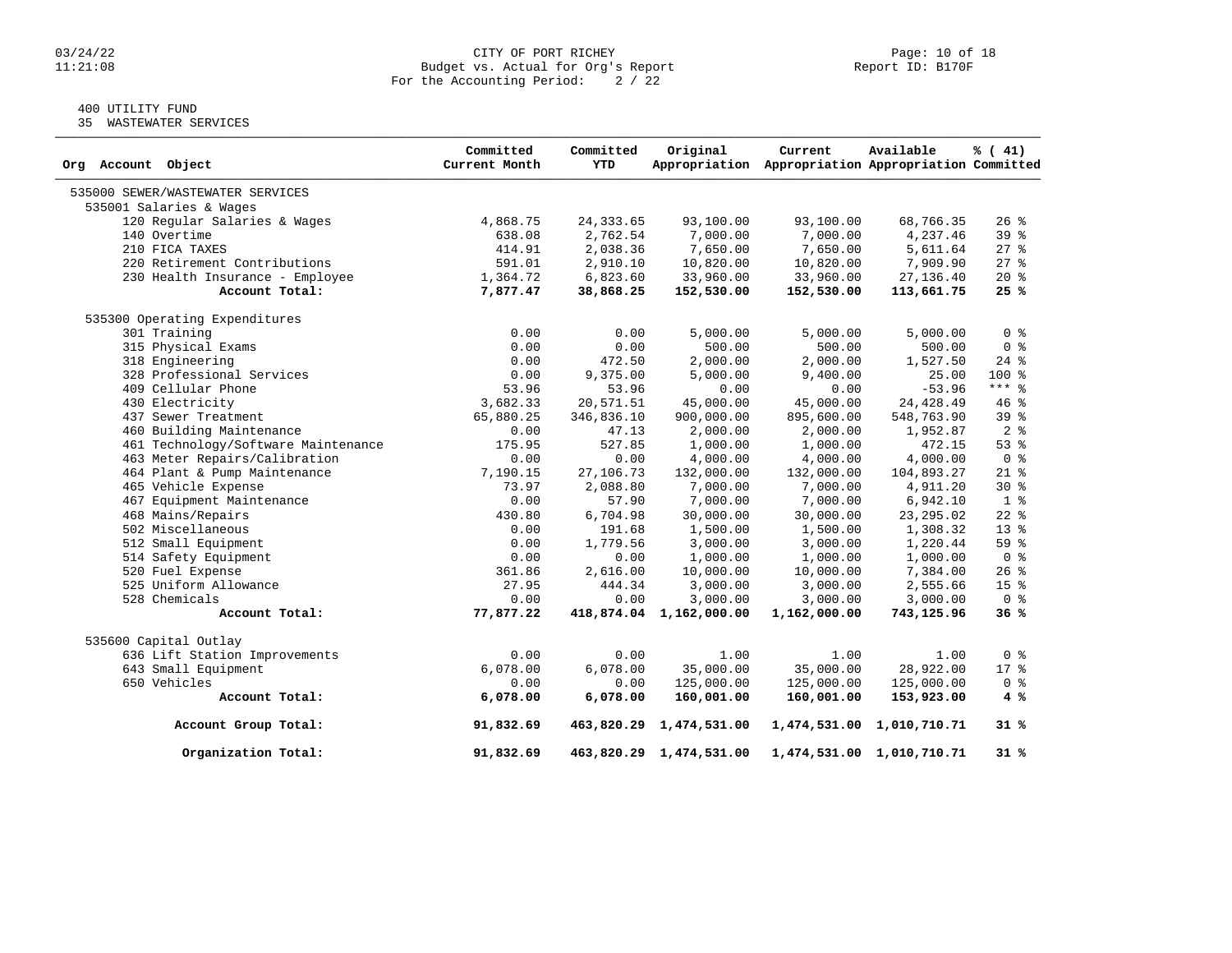### $03/24/22$  Page: 10 of 18<br>Dudget vs. Actual for Org's Report Page: 10 of 18<br>Report ID: B170F 11:21:08 Budget vs. Actual for Org's Report Report ID: B170F For the Accounting Period: 2 / 22

## 400 UTILITY FUND

35 WASTEWATER SERVICES

| Org Account Object                  | Committed<br>Current Month | Committed<br><b>YTD</b> | Original                | Current<br>Appropriation Appropriation Appropriation Committed | Available                 | % (41)          |
|-------------------------------------|----------------------------|-------------------------|-------------------------|----------------------------------------------------------------|---------------------------|-----------------|
| 535000 SEWER/WASTEWATER SERVICES    |                            |                         |                         |                                                                |                           |                 |
| 535001 Salaries & Wages             |                            |                         |                         |                                                                |                           |                 |
| 120 Regular Salaries & Wages        | 4,868.75                   | 24, 333.65              | 93,100.00               | 93,100.00                                                      | 68,766.35                 | $26$ %          |
| 140 Overtime                        | 638.08                     | 2,762.54                | 7,000.00                | 7,000.00                                                       | 4,237.46                  | 39%             |
| 210 FICA TAXES                      | 414.91                     | 2,038.36                | 7,650.00                | 7,650.00                                                       | 5,611.64                  | $27$ %          |
| 220 Retirement Contributions        | 591.01                     | 2,910.10                | 10,820.00               | 10,820.00                                                      | 7,909.90                  | $27$ %          |
| 230 Health Insurance - Employee     | 1,364.72                   | 6,823.60                | 33,960.00               | 33,960.00                                                      | 27,136.40                 | $20*$           |
| Account Total:                      | 7,877.47                   | 38,868.25               | 152,530.00              | 152,530.00                                                     | 113,661.75                | 25%             |
| 535300 Operating Expenditures       |                            |                         |                         |                                                                |                           |                 |
| 301 Training                        | 0.00                       | 0.00                    | 5,000.00                | 5,000.00                                                       | 5,000.00                  | 0 <sup>8</sup>  |
| 315 Physical Exams                  | 0.00                       | 0.00                    | 500.00                  | 500.00                                                         | 500.00                    | 0 <sup>8</sup>  |
| 318 Engineering                     | 0.00                       | 472.50                  | 2,000.00                | 2,000.00                                                       | 1,527.50                  | $24$ %          |
| 328 Professional Services           | 0.00                       | 9,375.00                | 5,000.00                | 9,400.00                                                       | 25.00                     | $100*$          |
| 409 Cellular Phone                  | 53.96                      | 53.96                   | 0.00                    | 0.00                                                           | $-53.96$                  | $***$ $-$       |
| 430 Electricity                     | 3,682.33                   | 20,571.51               | 45,000.00               | 45,000.00                                                      | 24, 428.49                | 46 %            |
| 437 Sewer Treatment                 | 65,880.25                  | 346,836.10              | 900,000.00              | 895,600.00                                                     | 548,763.90                | 39 <sup>8</sup> |
| 460 Building Maintenance            | 0.00                       | 47.13                   | 2,000.00                | 2,000.00                                                       | 1,952.87                  | 2 <sup>8</sup>  |
| 461 Technology/Software Maintenance | 175.95                     | 527.85                  | 1,000.00                | 1,000.00                                                       | 472.15                    | $53$ $%$        |
| 463 Meter Repairs/Calibration       | 0.00                       | 0.00                    | 4,000.00                | 4,000.00                                                       | 4,000.00                  | 0 <sup>8</sup>  |
| 464 Plant & Pump Maintenance        | 7,190.15                   | 27,106.73               | 132,000.00              | 132,000.00                                                     | 104,893.27                | $21$ %          |
| 465 Vehicle Expense                 | 73.97                      | 2,088.80                | 7,000.00                | 7,000.00                                                       | 4,911.20                  | $30*$           |
| 467 Equipment Maintenance           | 0.00                       | 57.90                   | 7,000.00                | 7,000.00                                                       | 6,942.10                  | 1 <sup>°</sup>  |
| 468 Mains/Repairs                   | 430.80                     | 6,704.98                | 30,000.00               | 30,000.00                                                      | 23, 295.02                | $22$ $%$        |
| 502 Miscellaneous                   | 0.00                       | 191.68                  | 1,500.00                | 1,500.00                                                       | 1,308.32                  | $13*$           |
| 512 Small Equipment                 | 0.00                       | 1,779.56                | 3,000.00                | 3,000.00                                                       | 1,220.44                  | 59 %            |
| 514 Safety Equipment                | 0.00                       | 0.00                    | 1,000.00                | 1,000.00                                                       | 1,000.00                  | 0 <sup>8</sup>  |
| 520 Fuel Expense                    | 361.86                     | 2,616.00                | 10,000.00               | 10,000.00                                                      | 7,384.00                  | 26%             |
| 525 Uniform Allowance               | 27.95                      | 444.34                  | 3,000.00                | 3,000.00                                                       | 2,555.66                  | 15 <sup>8</sup> |
| 528 Chemicals                       | 0.00                       | 0.00                    | 3,000.00                | 3,000.00                                                       | 3,000.00                  | 0 <sup>8</sup>  |
| Account Total:                      | 77,877.22                  |                         | 418,874.04 1,162,000.00 | 1,162,000.00                                                   | 743,125.96                | 36%             |
| 535600 Capital Outlay               |                            |                         |                         |                                                                |                           |                 |
| 636 Lift Station Improvements       | 0.00                       | 0.00                    | 1.00                    | 1.00                                                           | 1.00                      | 0 <sup>8</sup>  |
| 643 Small Equipment                 | 6,078.00                   | 6,078.00                | 35,000.00               | 35,000.00                                                      | 28,922.00                 | $17*$           |
| 650 Vehicles                        | 0.00                       | 0.00                    | 125,000.00              | 125,000.00                                                     | 125,000.00                | 0 <sup>8</sup>  |
| Account Total:                      | 6,078.00                   | 6,078.00                | 160,001.00              | 160,001.00                                                     | 153,923.00                | 4%              |
| Account Group Total:                | 91,832.69                  |                         | 463,820.29 1,474,531.00 |                                                                | 1,474,531.00 1,010,710.71 | 31 %            |
| Organization Total:                 | 91,832.69                  |                         | 463,820.29 1,474,531.00 |                                                                | 1,474,531.00 1,010,710.71 | 31%             |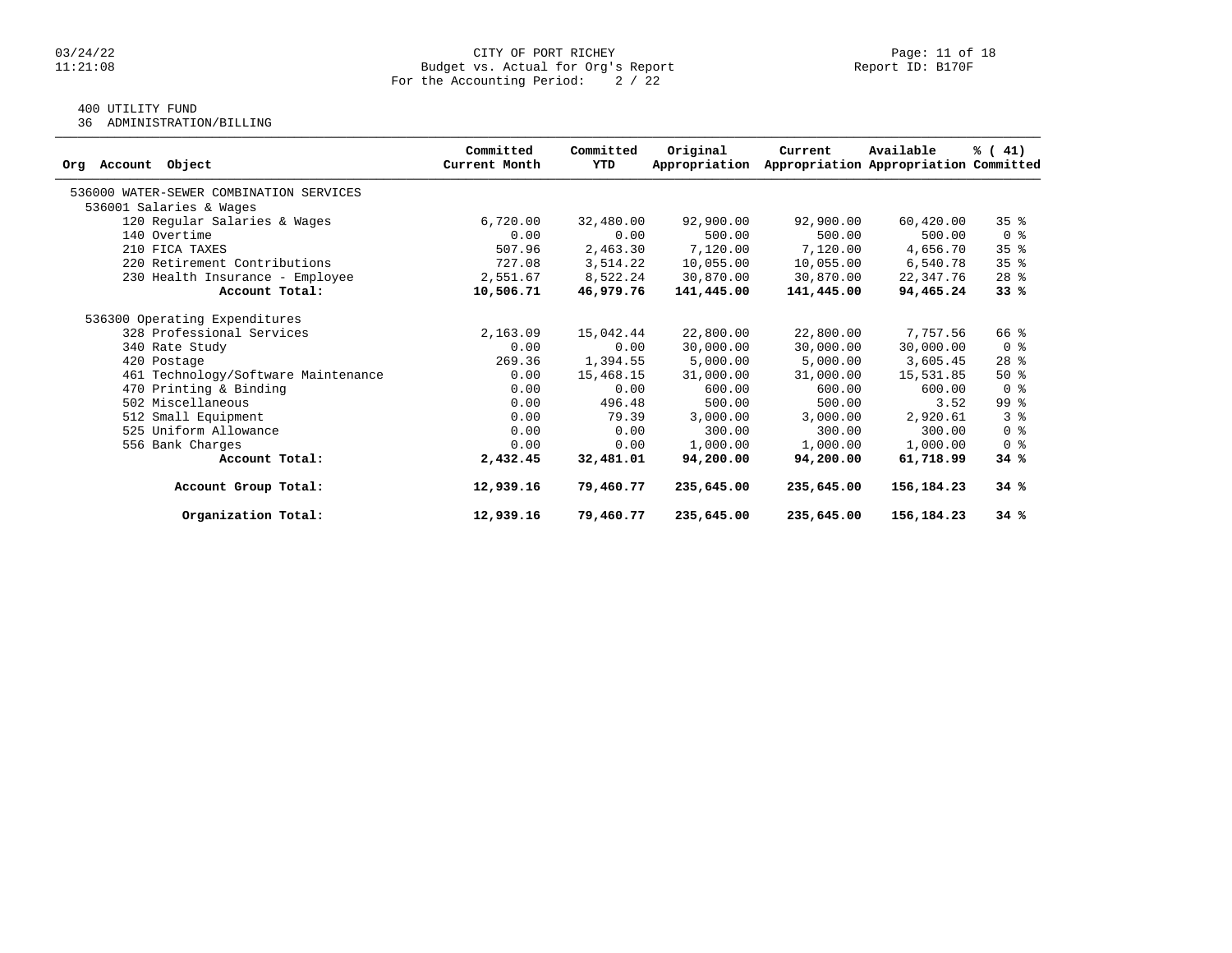### $03/24/22$  Page: 11 of 18<br>Budget vs. Actual for Org's Report Page: 11 of 18<br>Report ID: B170F Budget vs. Actual for Org's Report For the Accounting Period: 2 / 22

## 400 UTILITY FUND

36 ADMINISTRATION/BILLING

| Object<br>Account<br>Org                | Committed<br>Current Month | Committed<br>YTD | Original<br>Appropriation | Current    | Available<br>Appropriation Appropriation Committed | % (41)          |
|-----------------------------------------|----------------------------|------------------|---------------------------|------------|----------------------------------------------------|-----------------|
| 536000 WATER-SEWER COMBINATION SERVICES |                            |                  |                           |            |                                                    |                 |
| 536001 Salaries & Wages                 |                            |                  |                           |            |                                                    |                 |
| 120 Regular Salaries & Wages            | 6,720.00                   | 32,480.00        | 92,900.00                 | 92,900.00  | 60,420.00                                          | 35 <sup>8</sup> |
| 140 Overtime                            | 0.00                       | 0.00             | 500.00                    | 500.00     | 500.00                                             | 0 <sup>8</sup>  |
| 210 FICA TAXES                          | 507.96                     | 2,463.30         | 7,120.00                  | 7,120.00   | 4,656.70                                           | 35 <sup>8</sup> |
| 220 Retirement Contributions            | 727.08                     | 3,514.22         | 10,055.00                 | 10,055.00  | 6,540.78                                           | 35 <sup>8</sup> |
| 230 Health Insurance - Employee         | 2,551.67                   | 8,522.24         | 30,870.00                 | 30,870.00  | 22,347.76                                          | $28$ $%$        |
| Account Total:                          | 10,506.71                  | 46,979.76        | 141,445.00                | 141,445.00 | 94,465.24                                          | 33%             |
| 536300 Operating Expenditures           |                            |                  |                           |            |                                                    |                 |
| 328 Professional Services               | 2,163.09                   | 15,042.44        | 22,800.00                 | 22,800.00  | 7,757.56                                           | 66 %            |
| 340 Rate Study                          | 0.00                       | 0.00             | 30,000.00                 | 30,000.00  | 30,000.00                                          | 0 <sup>8</sup>  |
| 420 Postage                             | 269.36                     | 1,394.55         | 5,000.00                  | 5,000.00   | 3,605.45                                           | $28$ %          |
| 461 Technology/Software Maintenance     | 0.00                       | 15,468.15        | 31,000.00                 | 31,000.00  | 15,531.85                                          | $50*$           |
| 470 Printing & Binding                  | 0.00                       | 0.00             | 600.00                    | 600.00     | 600.00                                             | 0 <sup>8</sup>  |
| 502 Miscellaneous                       | 0.00                       | 496.48           | 500.00                    | 500.00     | 3.52                                               | 99 <sub>8</sub> |
| 512 Small Equipment                     | 0.00                       | 79.39            | 3,000.00                  | 3,000.00   | 2,920.61                                           | 3 <sup>8</sup>  |
| 525 Uniform Allowance                   | 0.00                       | 0.00             | 300.00                    | 300.00     | 300.00                                             | 0 <sup>8</sup>  |
| 556 Bank Charges                        | 0.00                       | 0.00             | 1,000.00                  | 1,000.00   | 1,000.00                                           | 0 <sup>8</sup>  |
| Account Total:                          | 2,432.45                   | 32,481.01        | 94,200.00                 | 94,200,00  | 61,718.99                                          | 34%             |
| Account Group Total:                    | 12,939.16                  | 79,460.77        | 235,645.00                | 235,645.00 | 156,184.23                                         | 34%             |
| Organization Total:                     | 12,939.16                  | 79,460.77        | 235,645.00                | 235,645.00 | 156,184.23                                         | 34%             |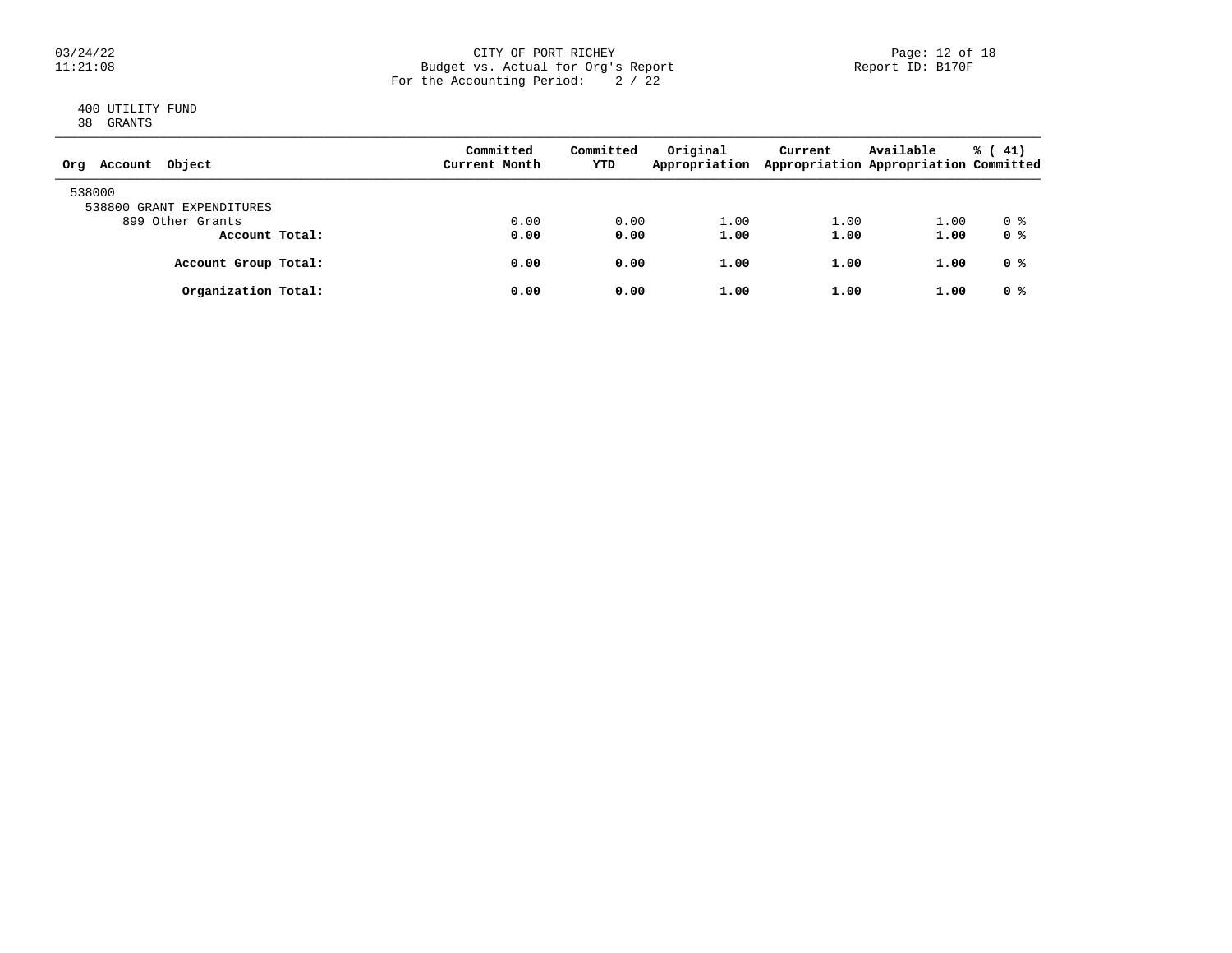### 03/24/22 CITY OF PORT RICHEY Page: 12 of 18 11:21:08 Budget vs. Actual for Org's Report Report ID: B170F For the Accounting Period: 2 / 22

### 400 UTILITY FUND 38 GRANTS

| Object<br>Account<br>Org            | Committed<br>Current Month | Committed<br>YTD | Original<br>Appropriation | Current | Available<br>Appropriation Appropriation Committed | $\frac{1}{6}$ ( 41) |
|-------------------------------------|----------------------------|------------------|---------------------------|---------|----------------------------------------------------|---------------------|
| 538000<br>538800 GRANT EXPENDITURES |                            |                  |                           |         |                                                    |                     |
| 899 Other Grants                    | 0.00                       | 0.00             | 1.00                      | 1.00    | 1.00                                               | 0 %                 |
| Account Total:                      | 0.00                       | 0.00             | 1.00                      | 1.00    | 1.00                                               | 0 %                 |
| Account Group Total:                | 0.00                       | 0.00             | 1.00                      | 1.00    | 1.00                                               | 0 %                 |
| Organization Total:                 | 0.00                       | 0.00             | 1.00                      | 1.00    | 1.00                                               | 0 %                 |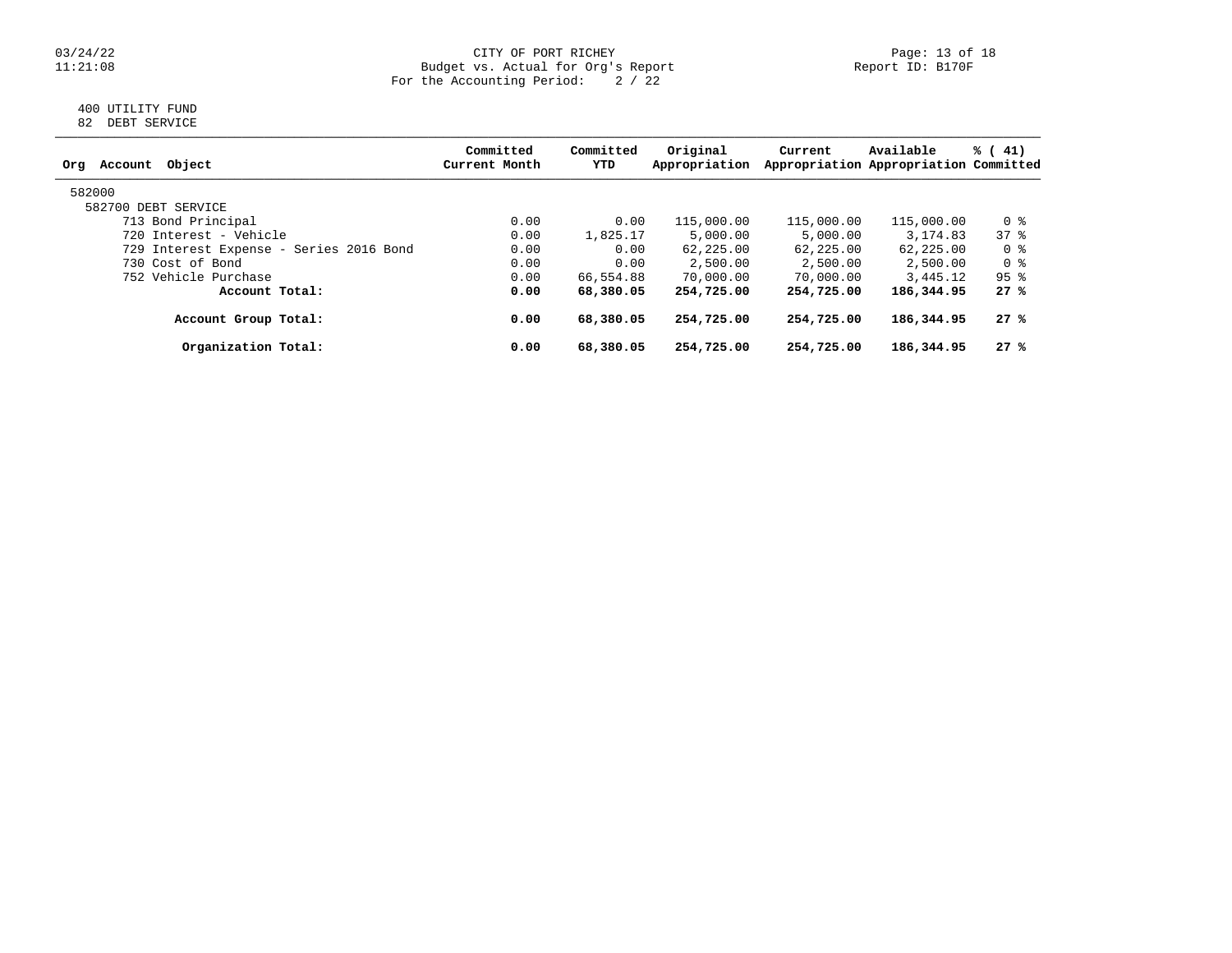### 03/24/22 CITY OF PORT RICHEY Page: 13 of 18 11:21:08 Budget vs. Actual for Org's Report Report ID: B170F For the Accounting Period: 2 / 22

### 400 UTILITY FUND 82 DEBT SERVICE

| Committed<br>Current Month | Committed<br>YTD | Original<br>Appropriation | Current                                                    | Available  | % (41)                                                                                                     |
|----------------------------|------------------|---------------------------|------------------------------------------------------------|------------|------------------------------------------------------------------------------------------------------------|
|                            |                  |                           |                                                            |            |                                                                                                            |
|                            |                  |                           |                                                            |            |                                                                                                            |
| 0.00                       |                  | 115,000.00                |                                                            | 115,000.00 | 0 %                                                                                                        |
| 0.00                       |                  | 5,000.00                  | 5,000.00                                                   | 3, 174, 83 | 378                                                                                                        |
| 0.00                       |                  | 62,225.00                 |                                                            | 62,225,00  | 0 %                                                                                                        |
| 0.00                       |                  | 2,500.00                  | 2,500.00                                                   | 2,500.00   | 0 %                                                                                                        |
| 0.00                       |                  | 70,000.00                 | 70,000.00                                                  |            | $95$ %                                                                                                     |
| 0.00                       |                  | 254,725.00                |                                                            | 186,344.95 | 27%                                                                                                        |
| 0.00                       | 68,380.05        | 254,725.00                |                                                            | 186,344.95 | 27%                                                                                                        |
| 0.00                       | 68,380.05        | 254,725.00                | 254,725.00                                                 | 186,344.95 | 27%                                                                                                        |
|                            |                  |                           | 0.00<br>1,825.17<br>0.00<br>0.00<br>66,554.88<br>68,380.05 |            | Appropriation Appropriation Committed<br>115,000.00<br>62, 225, 00<br>3,445.12<br>254,725.00<br>254,725.00 |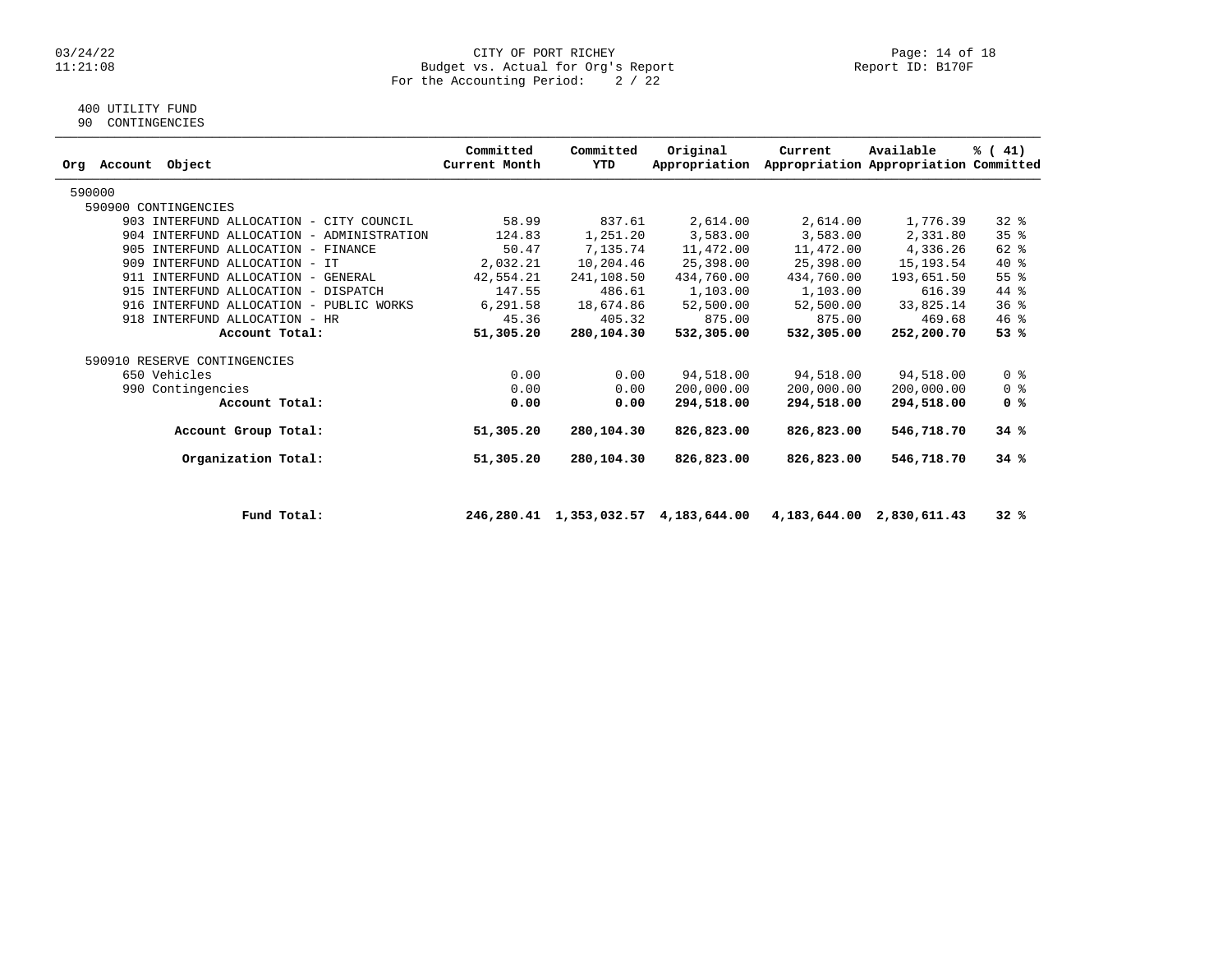#### 03/24/22 CITY OF PORT RICHEY Page: 14 of 18 11:21:08 Budget vs. Actual for Org's Report Report ID: B170F For the Accounting Period: 2 / 22

## 400 UTILITY FUND

90 CONTINGENCIES

|                                           | Committed     | Committed  | Original      | Current    | Available                             | % (41)         |
|-------------------------------------------|---------------|------------|---------------|------------|---------------------------------------|----------------|
| Object<br>Account<br>Ora                  | Current Month | YTD        | Appropriation |            | Appropriation Appropriation Committed |                |
| 590000                                    |               |            |               |            |                                       |                |
| 590900 CONTINGENCIES                      |               |            |               |            |                                       |                |
| 903 INTERFUND ALLOCATION - CITY COUNCIL   | 58.99         | 837.61     | 2,614.00      | 2,614.00   | 1,776.39                              | $32$ $%$       |
| 904 INTERFUND ALLOCATION - ADMINISTRATION | 124.83        | 1,251.20   | 3,583.00      | 3,583.00   | 2,331.80                              | 35%            |
| 905 INTERFUND ALLOCATION - FINANCE        | 50.47         | 7,135.74   | 11,472.00     | 11,472.00  | 4,336.26                              | 62 %           |
| 909<br>INTERFUND ALLOCATION - IT          | 2,032.21      | 10,204.46  | 25,398.00     | 25,398.00  | 15,193.54                             | $40*$          |
| 911 INTERFUND ALLOCATION - GENERAL        | 42,554.21     | 241,108.50 | 434,760.00    | 434,760.00 | 193,651.50                            | 55%            |
| 915 INTERFUND ALLOCATION - DISPATCH       | 147.55        | 486.61     | 1,103.00      | 1,103.00   | 616.39                                | 44 %           |
| 916 INTERFUND ALLOCATION - PUBLIC WORKS   | 6,291.58      | 18,674.86  | 52,500.00     | 52,500.00  | 33,825.14                             | 36%            |
| 918 INTERFUND ALLOCATION - HR             | 45.36         | 405.32     | 875.00        | 875.00     | 469.68                                | $46$ %         |
| Account Total:                            | 51,305.20     | 280,104.30 | 532,305.00    | 532,305.00 | 252,200.70                            | 53%            |
| 590910 RESERVE CONTINGENCIES              |               |            |               |            |                                       |                |
| 650 Vehicles                              | 0.00          | 0.00       | 94,518.00     | 94,518.00  | 94,518.00                             | 0 <sup>8</sup> |
| 990 Contingencies                         | 0.00          | 0.00       | 200,000.00    | 200,000.00 | 200,000.00                            | 0 <sup>8</sup> |
| Account Total:                            | 0.00          | 0.00       | 294,518.00    | 294,518.00 | 294,518.00                            | 0 %            |
| Account Group Total:                      | 51,305.20     | 280,104.30 | 826,823.00    | 826,823.00 | 546,718.70                            | 34%            |
| Organization Total:                       | 51,305.20     | 280,104.30 | 826,823.00    | 826,823.00 | 546,718.70                            | 34%            |

 **Fund Total: 246,280.41 1,353,032.57 4,183,644.00 4,183,644.00 2,830,611.43 32 %**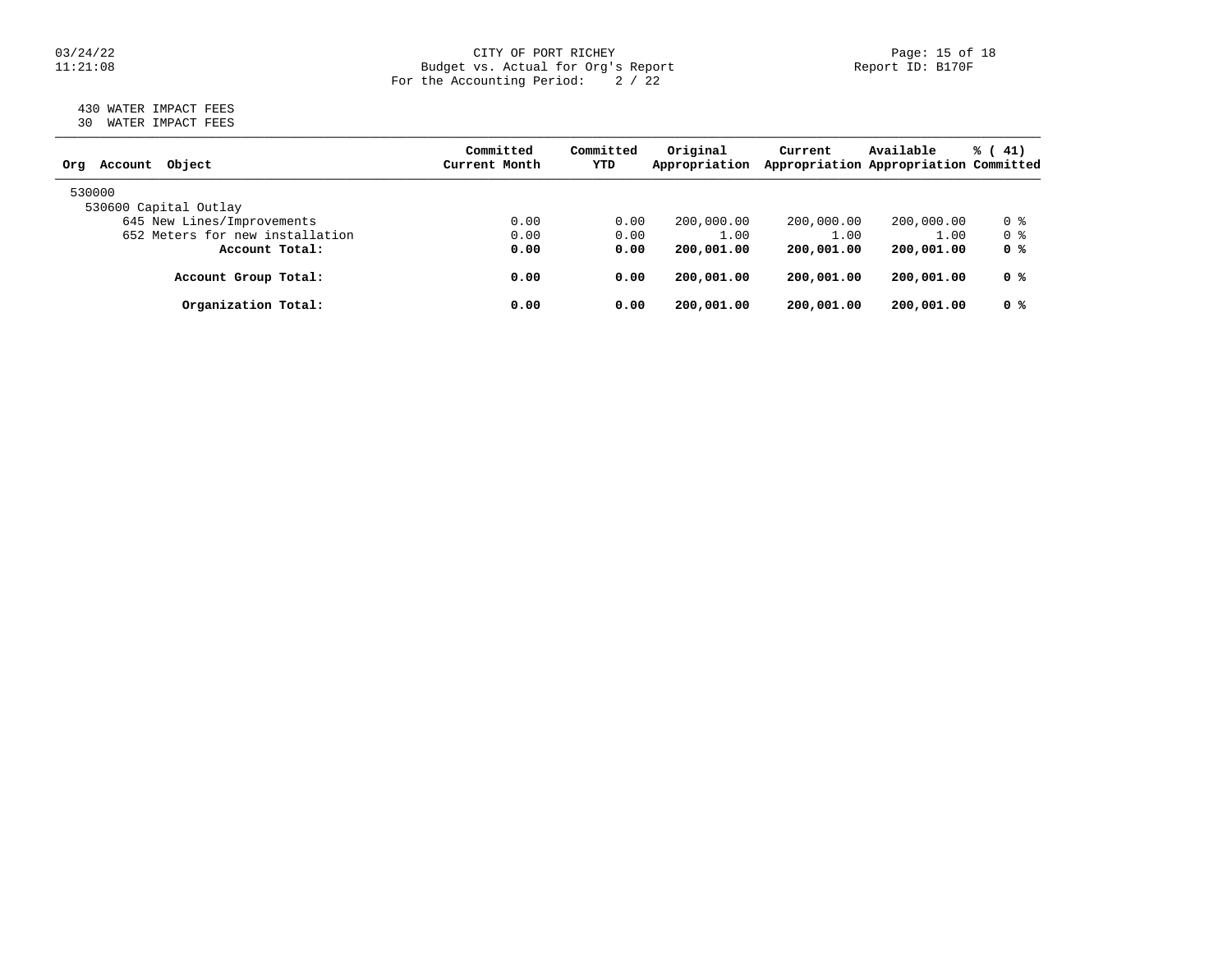### 03/24/22 CITY OF PORT RICHEY Page: 15 of 18 11:21:08 Budget vs. Actual for Org's Report Report ID: B170F For the Accounting Period: 2 / 22

### 430 WATER IMPACT FEES 30 WATER IMPACT FEES

| Object<br>Account<br>Org        | Committed<br>Current Month | Committed<br>YTD | Original<br>Appropriation | Current    | Available<br>Appropriation Appropriation Committed | % (41)         |
|---------------------------------|----------------------------|------------------|---------------------------|------------|----------------------------------------------------|----------------|
| 530000                          |                            |                  |                           |            |                                                    |                |
| 530600 Capital Outlay           |                            |                  |                           |            |                                                    |                |
| 645 New Lines/Improvements      | 0.00                       | 0.00             | 200,000.00                | 200,000.00 | 200,000.00                                         | 0 %            |
| 652 Meters for new installation | 0.00                       | 0.00             | 1.00                      | 1.00       | 1.00                                               | 0 %            |
| Account Total:                  | 0.00                       | 0.00             | 200,001.00                | 200,001.00 | 200,001.00                                         | 0 <sup>8</sup> |
| Account Group Total:            | 0.00                       | 0.00             | 200,001.00                | 200,001.00 | 200,001.00                                         | 0 %            |
| Organization Total:             | 0.00                       | 0.00             | 200,001.00                | 200,001.00 | 200,001.00                                         | 0 <sup>8</sup> |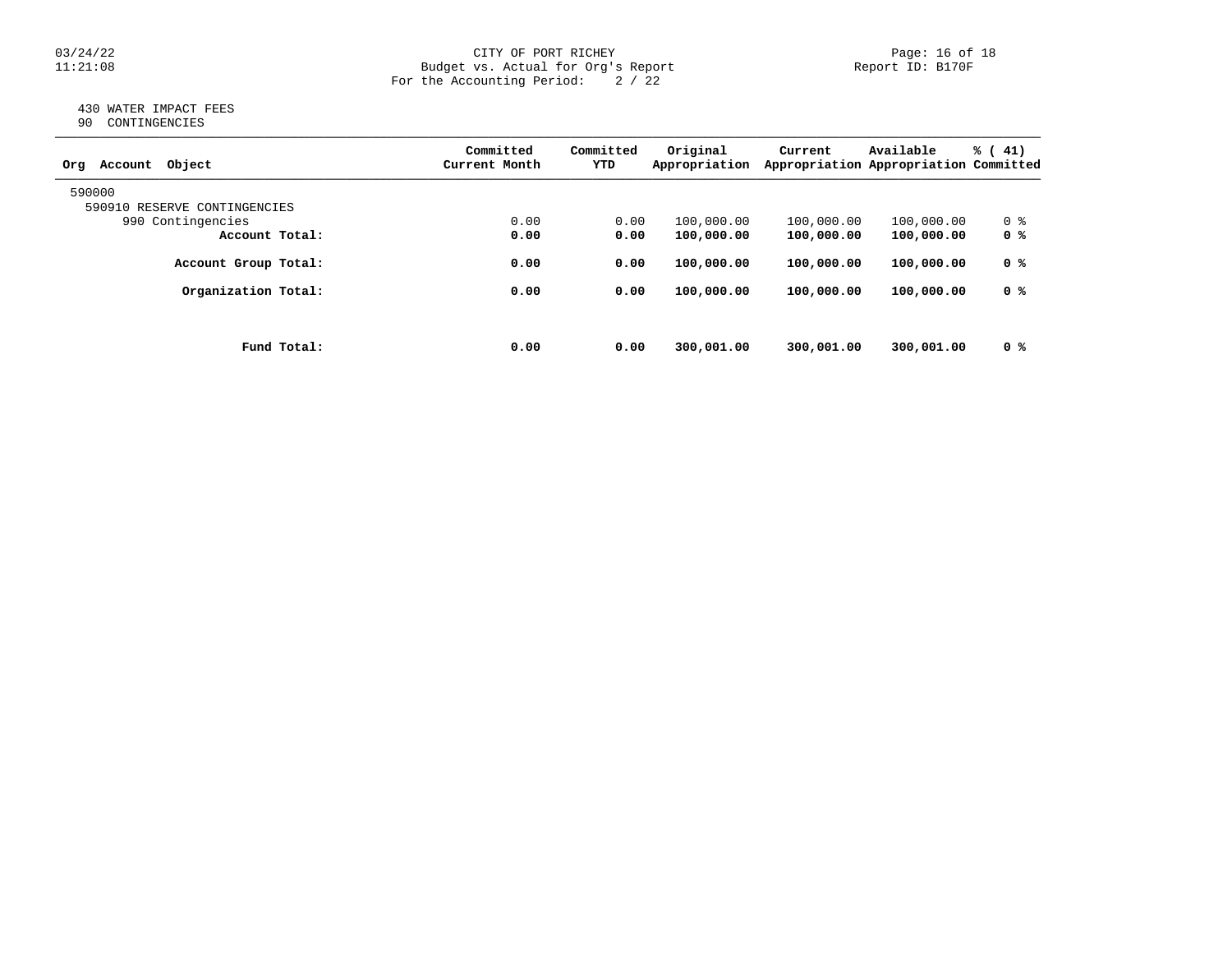### 03/24/22 CITY OF PORT RICHEY Page: 16 of 18 11:21:08 Budget vs. Actual for Org's Report Report ID: B170F For the Accounting Period: 2 / 22

### 430 WATER IMPACT FEES 90 CONTINGENCIES

| Object<br>Account<br>Org     |             | Committed<br>Current Month | Committed<br>YTD | Original<br>Appropriation | Current    | Available<br>Appropriation Appropriation Committed | % (41) |
|------------------------------|-------------|----------------------------|------------------|---------------------------|------------|----------------------------------------------------|--------|
| 590000                       |             |                            |                  |                           |            |                                                    |        |
| 590910 RESERVE CONTINGENCIES |             |                            |                  |                           |            |                                                    |        |
| 990 Contingencies            |             | 0.00                       | 0.00             | 100,000.00                | 100,000.00 | 100,000.00                                         | 0 %    |
| Account Total:               |             | 0.00                       | 0.00             | 100,000.00                | 100,000.00 | 100,000.00                                         | 0 %    |
| Account Group Total:         |             | 0.00                       | 0.00             | 100,000.00                | 100,000.00 | 100,000.00                                         | 0 %    |
| Organization Total:          |             | 0.00                       | 0.00             | 100,000.00                | 100,000.00 | 100,000.00                                         | 0 %    |
|                              |             |                            |                  |                           |            |                                                    |        |
|                              | Fund Total: | 0.00                       | 0.00             | 300,001.00                | 300,001.00 | 300,001.00                                         | 0 %    |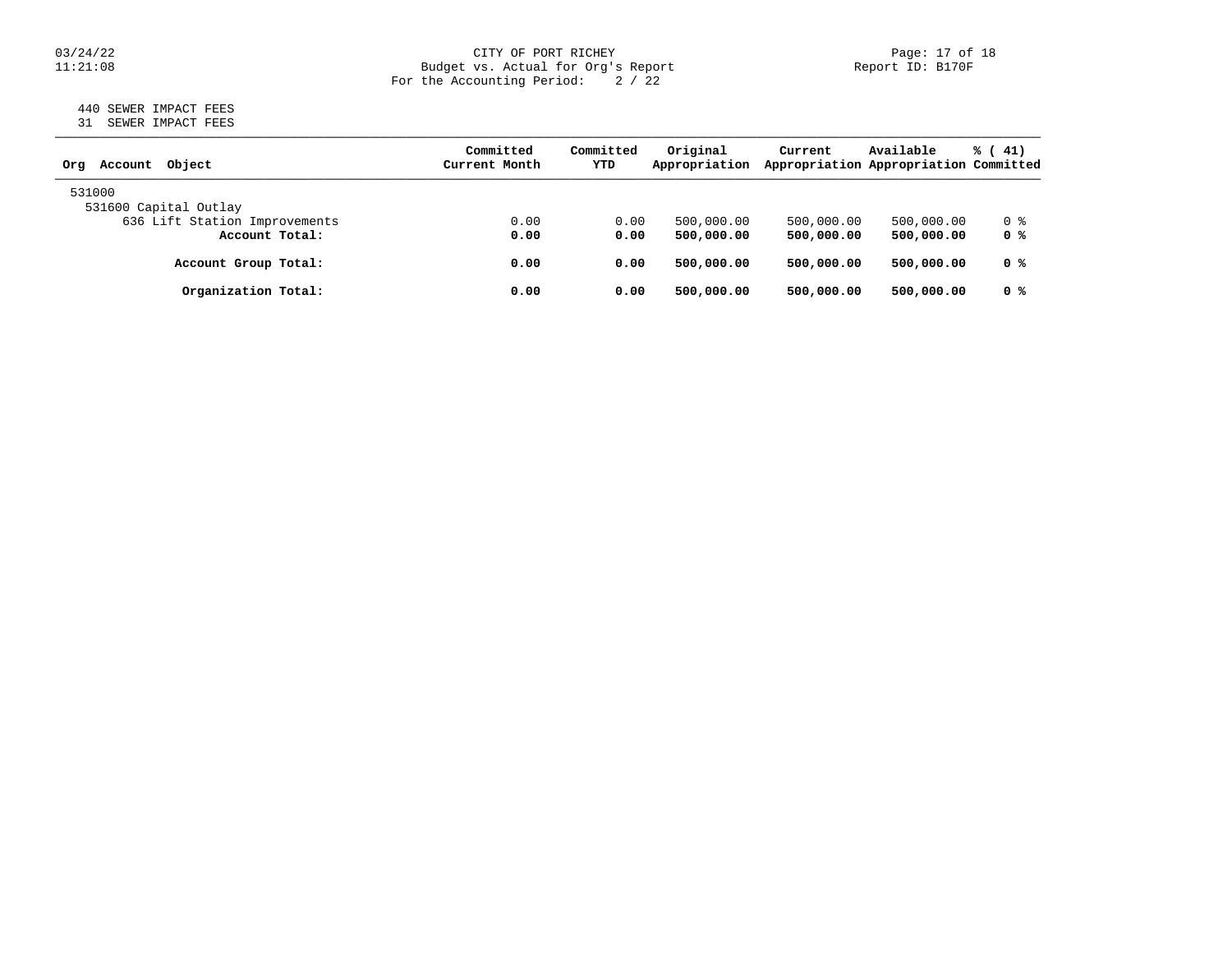### 03/24/22 CITY OF PORT RICHEY Page: 17 of 18 11:21:08 Budget vs. Actual for Org's Report Report ID: B170F For the Accounting Period: 2 / 22

### 440 SEWER IMPACT FEES 31 SEWER IMPACT FEES

| Account Object<br>Orq         | Committed<br>Current Month | Committed<br>YTD | Original<br>Appropriation | Current    | Available<br>Appropriation Appropriation Committed | $\frac{1}{6}$ ( 41) |
|-------------------------------|----------------------------|------------------|---------------------------|------------|----------------------------------------------------|---------------------|
| 531000                        |                            |                  |                           |            |                                                    |                     |
| 531600 Capital Outlay         |                            |                  |                           |            |                                                    |                     |
| 636 Lift Station Improvements | 0.00                       | 0.00             | 500,000.00                | 500,000.00 | 500,000.00                                         | 0 %                 |
| Account Total:                | 0.00                       | 0.00             | 500,000,00                | 500,000,00 | 500,000.00                                         | 0 %                 |
| Account Group Total:          | 0.00                       | 0.00             | 500,000,00                | 500,000,00 | 500,000.00                                         | 0 %                 |
| Organization Total:           | 0.00                       | 0.00             | 500,000.00                | 500,000,00 | 500,000.00                                         | 0 %                 |